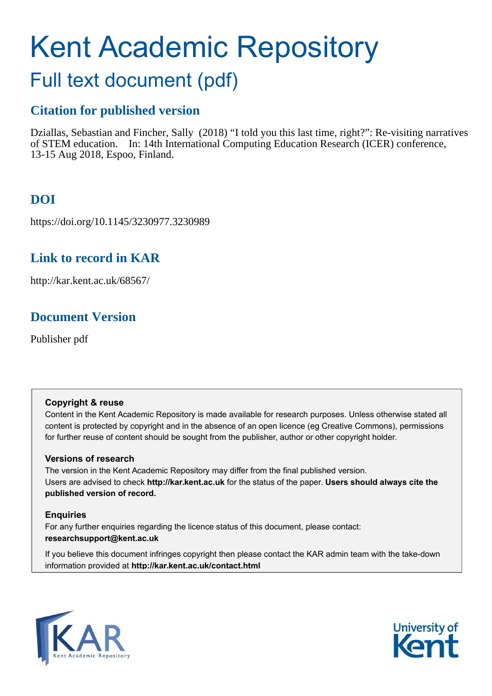# Kent Academic Repository

## Full text document (pdf)

## **Citation for published version**

Dziallas, Sebastian and Fincher, Sally (2018) "I told you this last time, right?": Re-visiting narratives of STEM education. In: 14th International Computing Education Research (ICER) conference, 13-15 Aug 2018, Espoo, Finland.

## **DOI**

https://doi.org/10.1145/3230977.3230989

## **Link to record in KAR**

http://kar.kent.ac.uk/68567/

## **Document Version**

Publisher pdf

#### **Copyright & reuse**

Content in the Kent Academic Repository is made available for research purposes. Unless otherwise stated all content is protected by copyright and in the absence of an open licence (eg Creative Commons), permissions for further reuse of content should be sought from the publisher, author or other copyright holder.

#### **Versions of research**

The version in the Kent Academic Repository may differ from the final published version. Users are advised to check **http://kar.kent.ac.uk** for the status of the paper. **Users should always cite the published version of record.**

#### **Enquiries**

For any further enquiries regarding the licence status of this document, please contact: **researchsupport@kent.ac.uk**

If you believe this document infringes copyright then please contact the KAR admin team with the take-down information provided at **http://kar.kent.ac.uk/contact.html**



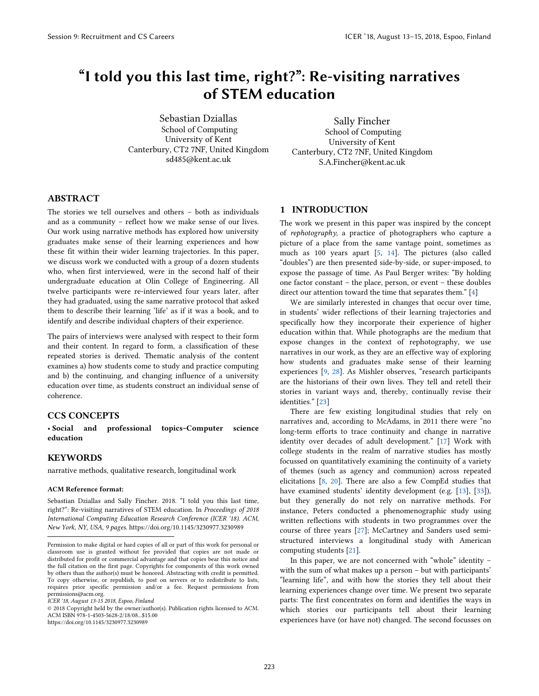## "I told you this last time, right?": Re-visiting narratives of STEM education

Sebastian Dziallas School of Computing University of Kent Canterbury, CT2 7NF, United Kingdom sd485@kent.ac.uk

Sally Fincher School of Computing University of Kent Canterbury, CT2 7NF, United Kingdom S.A.Fincher@kent.ac.uk

#### ABSTRACT

The stories we tell ourselves and others – both as individuals and as a community – reflect how we make sense of our lives. Our work using narrative methods has explored how university graduates make sense of their learning experiences and how these fit within their wider learning trajectories. In this paper, we discuss work we conducted with a group of a dozen students who, when first interviewed, were in the second half of their undergraduate education at Olin College of Engineering. All twelve participants were re-interviewed four years later, after they had graduated, using the same narrative protocol that asked them to describe their learning 'life' as if it was a book, and to identify and describe individual chapters of their experience.

The pairs of interviews were analysed with respect to their form and their content. In regard to form, a classification of these repeated stories is derived. Thematic analysis of the content examines a) how students come to study and practice computing and b) the continuing, and changing influence of a university education over time, as students construct an individual sense of coherence.

#### CCS CONCEPTS

ï Social and professional topics~Computer science education

#### KEYWORDS

j

narrative methods, qualitative research, longitudinal work

#### ACM Reference format:

Sebastian Dziallas and Sally Fincher. 2018. "I told you this last time, right?": Re-visiting narratives of STEM education. In *Proceedings of 2018 International Computing Education Research Conference (ICER '18). ACM, New York, NY, USA, 9 pages.* https://doi.org/10.1145/3230977.3230989

https://doi.org/10.1145/3230977.3230989

#### 1 INTRODUCTION

The work we present in this paper was inspired by the concept of *rephotography*, a practice of photographers who capture a picture of a place from the same vantage point, sometimes as much as 100 years apart [5, 14]. The pictures (also called "doubles") are then presented side-by-side, or super-imposed, to expose the passage of time. As Paul Berger writes: "By holding one factor constant – the place, person, or event – these doubles direct our attention toward the time that separates them." [4]

We are similarly interested in changes that occur over time, in students' wider reflections of their learning trajectories and specifically how they incorporate their experience of higher education within that. While photographs are the medium that expose changes in the context of rephotography, we use narratives in our work, as they are an effective way of exploring how students and graduates make sense of their learning experiences [9, 28]. As Mishler observes, "research participants are the historians of their own lives. They tell and retell their stories in variant ways and, thereby, continually revise their identities." [23]

There are few existing longitudinal studies that rely on narratives and, according to McAdams, in 2011 there were "no long-term efforts to trace continuity and change in narrative identity over decades of adult development." [17] Work with college students in the realm of narrative studies has mostly focussed on quantitatively examining the continuity of a variety of themes (such as agency and communion) across repeated elicitations [8, 20]. There are also a few CompEd studies that have examined students' identity development (e.g. [13], [33]), but they generally do not rely on narrative methods. For instance, Peters conducted a phenomenographic study using written reflections with students in two programmes over the course of three years [27]; McCartney and Sanders used semistructured interviews a longitudinal study with American computing students [21].

In this paper, we are not concerned with "whole" identity – with the sum of what makes up a person – but with participants' "learning life", and with how the stories they tell about their learning experiences change over time. We present two separate parts: The first concentrates on form and identifies the ways in which stories our participants tell about their learning experiences have (or have not) changed. The second focusses on

Permission to make digital or hard copies of all or part of this work for personal or classroom use is granted without fee provided that copies are not made or distributed for profit or commercial advantage and that copies bear this notice and the full citation on the first page. Copyrights for components of this work owned by others than the author(s) must be honored. Abstracting with credit is permitted. To copy otherwise, or republish, to post on servers or to redistribute to lists, requires prior specific permission and/or a fee. Request permissions from permissions@acm.org.

*ICER '18, August 13-15 2018, Espoo, Finland* 

<sup>© 2018</sup> Copyright held by the owner/author(s). Publication rights licensed to ACM. ACM ISBN 978-1-4503-5628-2/18/08...\$15.00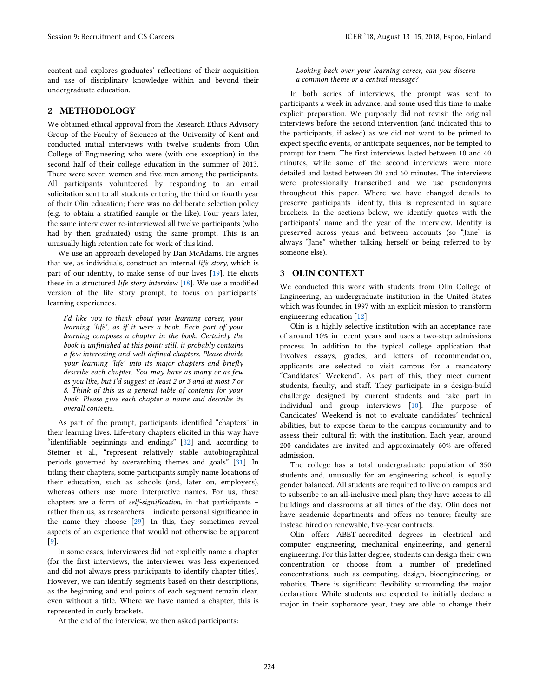content and explores graduates' reflections of their acquisition and use of disciplinary knowledge within and beyond their undergraduate education.

#### 2 METHODOLOGY

We obtained ethical approval from the Research Ethics Advisory Group of the Faculty of Sciences at the University of Kent and conducted initial interviews with twelve students from Olin College of Engineering who were (with one exception) in the second half of their college education in the summer of 2013. There were seven women and five men among the participants. All participants volunteered by responding to an email solicitation sent to all students entering the third or fourth year of their Olin education; there was no deliberate selection policy (e.g. to obtain a stratified sample or the like). Four years later, the same interviewer re-interviewed all twelve participants (who had by then graduated) using the same prompt. This is an unusually high retention rate for work of this kind.

We use an approach developed by Dan McAdams. He argues that we, as individuals, construct an internal *life story*, which is part of our identity, to make sense of our lives [19]. He elicits these in a structured *life story interview* [18]. We use a modified version of the life story prompt, to focus on participants' learning experiences.

*Iíd like you to think about your learning career, your learning ëlifeí, as if it were a book. Each part of your learning composes a chapter in the book. Certainly the book is unfinished at this point: still, it probably contains a few interesting and well-defined chapters. Please divide your learning ëlifeí into its major chapters and briefly describe each chapter. You may have as many or as few as you like, but Iíd suggest at least 2 or 3 and at most 7 or 8. Think of this as a general table of contents for your book. Please give each chapter a name and describe its overall contents.* 

As part of the prompt, participants identified "chapters" in their learning lives. Life-story chapters elicited in this way have "identifiable beginnings and endings" [32] and, according to Steiner et al., "represent relatively stable autobiographical periods governed by overarching themes and goals" [31]. In titling their chapters, some participants simply name locations of their education, such as schools (and, later on, employers), whereas others use more interpretive names. For us, these chapters are a form of *self-signification*, in that participants – rather than us, as researchers – indicate personal significance in the name they choose [29]. In this, they sometimes reveal aspects of an experience that would not otherwise be apparent [9].

In some cases, interviewees did not explicitly name a chapter (for the first interviews, the interviewer was less experienced and did not always press participants to identify chapter titles). However, we can identify segments based on their descriptions, as the beginning and end points of each segment remain clear, even without a title. Where we have named a chapter, this is represented in curly brackets.

At the end of the interview, we then asked participants:

*Looking back over your learning career, can you discern a common theme or a central message?*

In both series of interviews, the prompt was sent to participants a week in advance, and some used this time to make explicit preparation. We purposely did not revisit the original interviews before the second intervention (and indicated this to the participants, if asked) as we did not want to be primed to expect specific events, or anticipate sequences, nor be tempted to prompt for them. The first interviews lasted between 10 and 40 minutes, while some of the second interviews were more detailed and lasted between 20 and 60 minutes. The interviews were professionally transcribed and we use pseudonyms throughout this paper. Where we have changed details to preserve participants' identity, this is represented in square brackets. In the sections below, we identify quotes with the participants' name and the year of the interview. Identity is preserved across years and between accounts (so "Jane" is always "Jane" whether talking herself or being referred to by someone else).

#### 3 OLIN CONTEXT

We conducted this work with students from Olin College of Engineering, an undergraduate institution in the United States which was founded in 1997 with an explicit mission to transform engineering education [12].

Olin is a highly selective institution with an acceptance rate of around 10% in recent years and uses a two-step admissions process. In addition to the typical college application that involves essays, grades, and letters of recommendation, applicants are selected to visit campus for a mandatory "Candidates' Weekend". As part of this, they meet current students, faculty, and staff. They participate in a design-build challenge designed by current students and take part in individual and group interviews [10]. The purpose of Candidates' Weekend is not to evaluate candidates' technical abilities, but to expose them to the campus community and to assess their cultural fit with the institution. Each year, around 200 candidates are invited and approximately 60% are offered admission.

The college has a total undergraduate population of 350 students and, unusually for an engineering school, is equally gender balanced. All students are required to live on campus and to subscribe to an all-inclusive meal plan; they have access to all buildings and classrooms at all times of the day. Olin does not have academic departments and offers no tenure; faculty are instead hired on renewable, five-year contracts.

Olin offers ABET-accredited degrees in electrical and computer engineering, mechanical engineering, and general engineering. For this latter degree, students can design their own concentration or choose from a number of predefined concentrations, such as computing, design, bioengineering, or robotics. There is significant flexibility surrounding the major declaration: While students are expected to initially declare a major in their sophomore year, they are able to change their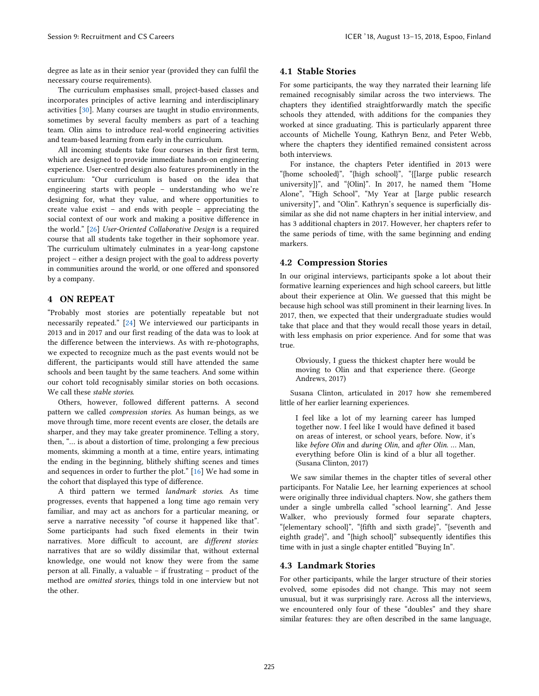degree as late as in their senior year (provided they can fulfil the necessary course requirements).

The curriculum emphasises small, project-based classes and incorporates principles of active learning and interdisciplinary activities [30]. Many courses are taught in studio environments, sometimes by several faculty members as part of a teaching team. Olin aims to introduce real-world engineering activities and team-based learning from early in the curriculum.

All incoming students take four courses in their first term, which are designed to provide immediate hands-on engineering experience. User-centred design also features prominently in the curriculum: "Our curriculum is based on the idea that engineering starts with people – understanding who we're designing for, what they value, and where opportunities to create value exist – and ends with people – appreciating the social context of our work and making a positive difference in the world." [26] *User-Oriented Collaborative Design* is a required course that all students take together in their sophomore year. The curriculum ultimately culminates in a year-long capstone project – either a design project with the goal to address poverty in communities around the world, or one offered and sponsored by a company.

#### 4 ON REPEAT

"Probably most stories are potentially repeatable but not necessarily repeated." [24] We interviewed our participants in 2013 and in 2017 and our first reading of the data was to look at the difference between the interviews. As with re-photographs, we expected to recognize much as the past events would not be different, the participants would still have attended the same schools and been taught by the same teachers. And some within our cohort told recognisably similar stories on both occasions. We call these *stable stories*.

Others, however, followed different patterns. A second pattern we called *compression stories*. As human beings, as we move through time, more recent events are closer, the details are sharper, and they may take greater prominence. Telling a story, then, "… is about a distortion of time, prolonging a few precious moments, skimming a month at a time, entire years, intimating the ending in the beginning, blithely shifting scenes and times and sequences in order to further the plot." [16] We had some in the cohort that displayed this type of difference.

A third pattern we termed *landmark stories*. As time progresses, events that happened a long time ago remain very familiar, and may act as anchors for a particular meaning, or serve a narrative necessity "of course it happened like that". Some participants had such fixed elements in their twin narratives. More difficult to account, are *different stories*: narratives that are so wildly dissimilar that, without external knowledge, one would not know they were from the same person at all. Finally, a valuable – if frustrating – product of the method are *omitted stories*, things told in one interview but not the other.

#### 4.1 Stable Stories

For some participants, the way they narrated their learning life remained recognisably similar across the two interviews. The chapters they identified straightforwardly match the specific schools they attended, with additions for the companies they worked at since graduating. This is particularly apparent three accounts of Michelle Young, Kathryn Benz, and Peter Webb, where the chapters they identified remained consistent across both interviews.

For instance, the chapters Peter identified in 2013 were "{home schooled}", "{high school}", "{[large public research university]}", and "{Olin}". In 2017, he named them "Home Alone", "High School", "My Year at [large public research university]", and "Olin". Kathryn's sequence is superficially dissimilar as she did not name chapters in her initial interview, and has 3 additional chapters in 2017. However, her chapters refer to the same periods of time, with the same beginning and ending markers.

#### 4.2 Compression Stories

In our original interviews, participants spoke a lot about their formative learning experiences and high school careers, but little about their experience at Olin. We guessed that this might be because high school was still prominent in their learning lives. In 2017, then, we expected that their undergraduate studies would take that place and that they would recall those years in detail, with less emphasis on prior experience. And for some that was true.

Obviously, I guess the thickest chapter here would be moving to Olin and that experience there. (George Andrews, 2017)

Susana Clinton, articulated in 2017 how she remembered little of her earlier learning experiences.

I feel like a lot of my learning career has lumped together now. I feel like I would have defined it based on areas of interest, or school years, before. Now, it's like *before Olin* and *during Olin*, and *after Olin*. … Man, everything before Olin is kind of a blur all together. (Susana Clinton, 2017)

We saw similar themes in the chapter titles of several other participants. For Natalie Lee, her learning experiences at school were originally three individual chapters. Now, she gathers them under a single umbrella called "school learning". And Jesse Walker, who previously formed four separate chapters, "{elementary school}", "{fifth and sixth grade}", "{seventh and eighth grade}", and "{high school}" subsequently identifies this time with in just a single chapter entitled "Buying In".

#### 4.3 Landmark Stories

For other participants, while the larger structure of their stories evolved, some episodes did not change. This may not seem unusual, but it was surprisingly rare. Across all the interviews, we encountered only four of these "doubles" and they share similar features: they are often described in the same language,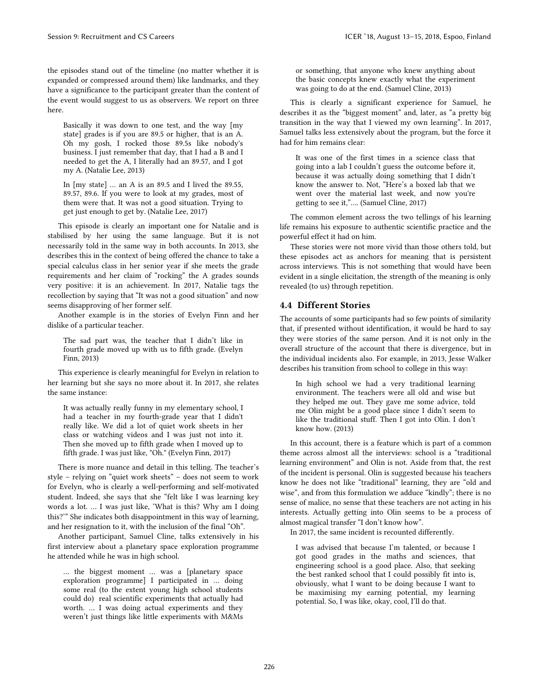the episodes stand out of the timeline (no matter whether it is expanded or compressed around them) like landmarks, and they have a significance to the participant greater than the content of the event would suggest to us as observers. We report on three here.

Basically it was down to one test, and the way [my state] grades is if you are 89.5 or higher, that is an A. Oh my gosh, I rocked those 89.5s like nobody's business. I just remember that day, that I had a B and I needed to get the A, I literally had an 89.57, and I got my A. (Natalie Lee, 2013)

In [my state] … an A is an 89.5 and I lived the 89.55, 89.57, 89.6. If you were to look at my grades, most of them were that. It was not a good situation. Trying to get just enough to get by. (Natalie Lee, 2017)

This episode is clearly an important one for Natalie and is stabilised by her using the same language. But it is not necessarily told in the same way in both accounts. In 2013, she describes this in the context of being offered the chance to take a special calculus class in her senior year if she meets the grade requirements and her claim of "rocking" the A grades sounds very positive: it is an achievement. In 2017, Natalie tags the recollection by saying that "It was not a good situation" and now seems disapproving of her former self.

Another example is in the stories of Evelyn Finn and her dislike of a particular teacher.

The sad part was, the teacher that I didn't like in fourth grade moved up with us to fifth grade. (Evelyn Finn, 2013)

This experience is clearly meaningful for Evelyn in relation to her learning but she says no more about it. In 2017, she relates the same instance:

It was actually really funny in my elementary school, I had a teacher in my fourth-grade year that I didn't really like. We did a lot of quiet work sheets in her class or watching videos and I was just not into it. Then she moved up to fifth grade when I moved up to fifth grade. I was just like, "Oh." (Evelyn Finn, 2017)

There is more nuance and detail in this telling. The teacher's style – relying on "quiet work sheets" – does not seem to work for Evelyn, who is clearly a well-performing and self-motivated student. Indeed, she says that she "felt like I was learning key words a lot. … I was just like, 'What is this? Why am I doing this?'" She indicates both disappointment in this way of learning, and her resignation to it, with the inclusion of the final "Oh".

Another participant, Samuel Cline, talks extensively in his first interview about a planetary space exploration programme he attended while he was in high school.

… the biggest moment … was a [planetary space exploration programme] I participated in … doing some real (to the extent young high school students could do) real scientific experiments that actually had worth. … I was doing actual experiments and they weren't just things like little experiments with M&Ms

or something, that anyone who knew anything about the basic concepts knew exactly what the experiment was going to do at the end. (Samuel Cline, 2013)

This is clearly a significant experience for Samuel, he describes it as the "biggest moment" and, later, as "a pretty big transition in the way that I viewed my own learning". In 2017, Samuel talks less extensively about the program, but the force it had for him remains clear:

It was one of the first times in a science class that going into a lab I couldn't guess the outcome before it, because it was actually doing something that I didn't know the answer to. Not, "Here's a boxed lab that we went over the material last week, and now you're getting to see it,"…. (Samuel Cline, 2017)

The common element across the two tellings of his learning life remains his exposure to authentic scientific practice and the powerful effect it had on him.

These stories were not more vivid than those others told, but these episodes act as anchors for meaning that is persistent across interviews. This is not something that would have been evident in a single elicitation, the strength of the meaning is only revealed (to us) through repetition.

#### 4.4 Different Stories

The accounts of some participants had so few points of similarity that, if presented without identification, it would be hard to say they were stories of the same person. And it is not only in the overall structure of the account that there is divergence, but in the individual incidents also. For example, in 2013, Jesse Walker describes his transition from school to college in this way:

In high school we had a very traditional learning environment. The teachers were all old and wise but they helped me out. They gave me some advice, told me Olin might be a good place since I didn't seem to like the traditional stuff. Then I got into Olin. I don't know how. (2013)

In this account, there is a feature which is part of a common theme across almost all the interviews: school is a "traditional learning environment" and Olin is not. Aside from that, the rest of the incident is personal. Olin is suggested because his teachers know he does not like "traditional" learning, they are "old and wise", and from this formulation we adduce "kindly"; there is no sense of malice, no sense that these teachers are not acting in his interests. Actually getting into Olin seems to be a process of almost magical transfer "I don't know how".

In 2017, the same incident is recounted differently.

I was advised that because I'm talented, or because I got good grades in the maths and sciences, that engineering school is a good place. Also, that seeking the best ranked school that I could possibly fit into is, obviously, what I want to be doing because I want to be maximising my earning potential, my learning potential. So, I was like, okay, cool, I'll do that.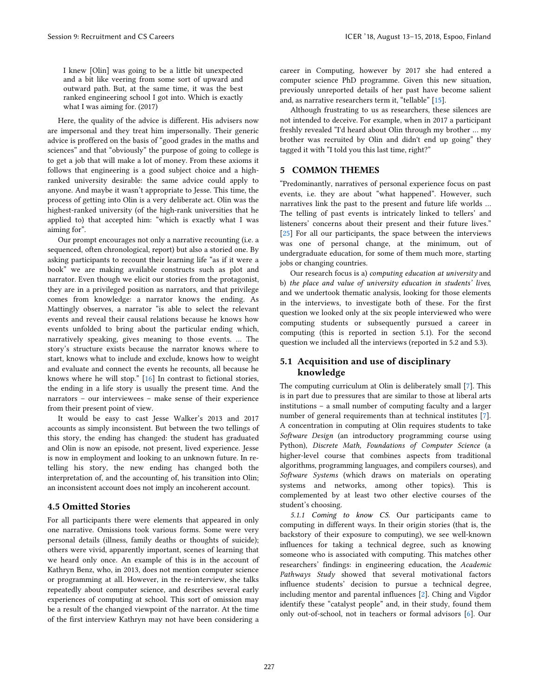I knew [Olin] was going to be a little bit unexpected and a bit like veering from some sort of upward and outward path. But, at the same time, it was the best ranked engineering school I got into. Which is exactly what I was aiming for. (2017)

Here, the quality of the advice is different. His advisers now are impersonal and they treat him impersonally. Their generic advice is proffered on the basis of "good grades in the maths and sciences" and that "obviously" the purpose of going to college is to get a job that will make a lot of money. From these axioms it follows that engineering is a good subject choice and a highranked university desirable: the same advice could apply to anyone. And maybe it wasn't appropriate to Jesse. This time, the process of getting into Olin is a very deliberate act. Olin was the highest-ranked university (of the high-rank universities that he applied to) that accepted him: "which is exactly what I was aiming for".

Our prompt encourages not only a narrative recounting (i.e. a sequenced, often chronological, report) but also a storied one. By asking participants to recount their learning life "as if it were a book" we are making available constructs such as plot and narrator. Even though we elicit our stories from the protagonist, they are in a privileged position as narrators, and that privilege comes from knowledge: a narrator knows the ending. As Mattingly observes, a narrator "is able to select the relevant events and reveal their causal relations because he knows how events unfolded to bring about the particular ending which, narratively speaking, gives meaning to those events. … The story's structure exists because the narrator knows where to start, knows what to include and exclude, knows how to weight and evaluate and connect the events he recounts, all because he knows where he will stop." [16] In contrast to fictional stories, the ending in a life story is usually the present time. And the narrators – our interviewees – make sense of their experience from their present point of view.

It would be easy to cast Jesse Walker's 2013 and 2017 accounts as simply inconsistent. But between the two tellings of this story, the ending has changed: the student has graduated and Olin is now an episode, not present, lived experience. Jesse is now in employment and looking to an unknown future. In retelling his story, the new ending has changed both the interpretation of, and the accounting of, his transition into Olin; an inconsistent account does not imply an incoherent account.

#### 4.5 Omitted Stories

For all participants there were elements that appeared in only one narrative. Omissions took various forms. Some were very personal details (illness, family deaths or thoughts of suicide); others were vivid, apparently important, scenes of learning that we heard only once. An example of this is in the account of Kathryn Benz, who, in 2013, does not mention computer science or programming at all. However, in the re-interview, she talks repeatedly about computer science, and describes several early experiences of computing at school. This sort of omission may be a result of the changed viewpoint of the narrator. At the time of the first interview Kathryn may not have been considering a

career in Computing, however by 2017 she had entered a computer science PhD programme. Given this new situation, previously unreported details of her past have become salient and, as narrative researchers term it, "tellable" [15].

Although frustrating to us as researchers, these silences are not intended to deceive. For example, when in 2017 a participant freshly revealed "I'd heard about Olin through my brother … my brother was recruited by Olin and didn't end up going" they tagged it with "I told you this last time, right?"

#### 5 COMMON THEMES

"Predominantly, narratives of personal experience focus on past events, i.e. they are about "what happened". However, such narratives link the past to the present and future life worlds … The telling of past events is intricately linked to tellers' and listeners' concerns about their present and their future lives." [25] For all our participants, the space between the interviews was one of personal change, at the minimum, out of undergraduate education, for some of them much more, starting jobs or changing countries.

Our research focus is a) *computing education at university* and b) *the place and value of university education in students' lives*, and we undertook thematic analysis, looking for those elements in the interviews, to investigate both of these. For the first question we looked only at the six people interviewed who were computing students or subsequently pursued a career in computing (this is reported in section 5.1). For the second question we included all the interviews (reported in 5.2 and 5.3).

#### 5.1 Acquisition and use of disciplinary knowledge

The computing curriculum at Olin is deliberately small [7]. This is in part due to pressures that are similar to those at liberal arts institutions – a small number of computing faculty and a larger number of general requirements than at technical institutes [7]. A concentration in computing at Olin requires students to take *Software Design* (an introductory programming course using Python), *Discrete Math, Foundations of Computer Science* (a higher-level course that combines aspects from traditional algorithms, programming languages, and compilers courses), and *Software Systems* (which draws on materials on operating systems and networks, among other topics). This is complemented by at least two other elective courses of the student's choosing.

*5.1.1* Coming to know CS. Our participants came to computing in different ways. In their origin stories (that is, the backstory of their exposure to computing), we see well-known influences for taking a technical degree, such as knowing someone who is associated with computing. This matches other researchers' findings: in engineering education, the *Academic Pathways Study* showed that several motivational factors influence students' decision to pursue a technical degree, including mentor and parental influences [2]. Ching and Vigdor identify these "catalyst people" and, in their study, found them only out-of-school, not in teachers or formal advisors [6]. Our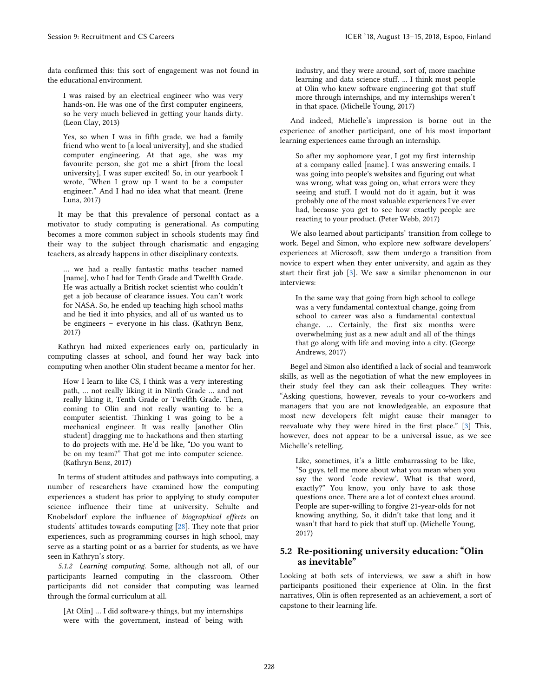data confirmed this: this sort of engagement was not found in the educational environment.

I was raised by an electrical engineer who was very hands-on. He was one of the first computer engineers, so he very much believed in getting your hands dirty. (Leon Clay, 2013)

Yes, so when I was in fifth grade, we had a family friend who went to [a local university], and she studied computer engineering. At that age, she was my favourite person, she got me a shirt [from the local university], I was super excited! So, in our yearbook I wrote, "When I grow up I want to be a computer engineer." And I had no idea what that meant. (Irene Luna, 2017)

It may be that this prevalence of personal contact as a motivator to study computing is generational. As computing becomes a more common subject in schools students may find their way to the subject through charismatic and engaging teachers, as already happens in other disciplinary contexts.

… we had a really fantastic maths teacher named [name], who I had for Tenth Grade and Twelfth Grade. He was actually a British rocket scientist who couldn't get a job because of clearance issues. You can't work for NASA. So, he ended up teaching high school maths and he tied it into physics, and all of us wanted us to be engineers – everyone in his class. (Kathryn Benz, 2017)

Kathryn had mixed experiences early on, particularly in computing classes at school, and found her way back into computing when another Olin student became a mentor for her.

How I learn to like CS, I think was a very interesting path, … not really liking it in Ninth Grade … and not really liking it, Tenth Grade or Twelfth Grade. Then, coming to Olin and not really wanting to be a computer scientist. Thinking I was going to be a mechanical engineer. It was really [another Olin student] dragging me to hackathons and then starting to do projects with me. He'd be like, "Do you want to be on my team?" That got me into computer science. (Kathryn Benz, 2017)

In terms of student attitudes and pathways into computing, a number of researchers have examined how the computing experiences a student has prior to applying to study computer science influence their time at university. Schulte and Knobelsdorf explore the influence of *biographical effects* on students' attitudes towards computing [28]. They note that prior experiences, such as programming courses in high school, may serve as a starting point or as a barrier for students, as we have seen in Kathryn's story.

*5.1.2* Learning computing. Some, although not all, of our participants learned computing in the classroom. Other participants did not consider that computing was learned through the formal curriculum at all.

[At Olin] … I did software-y things, but my internships were with the government, instead of being with

industry, and they were around, sort of, more machine learning and data science stuff. ... I think most people at Olin who knew software engineering got that stuff more through internships, and my internships weren't in that space. (Michelle Young, 2017)

And indeed, Michelle's impression is borne out in the experience of another participant, one of his most important learning experiences came through an internship.

So after my sophomore year, I got my first internship at a company called [name]. I was answering emails. I was going into people's websites and figuring out what was wrong, what was going on, what errors were they seeing and stuff. I would not do it again, but it was probably one of the most valuable experiences I've ever had, because you get to see how exactly people are reacting to your product. (Peter Webb, 2017)

We also learned about participants' transition from college to work. Begel and Simon, who explore new software developers' experiences at Microsoft, saw them undergo a transition from novice to expert when they enter university, and again as they start their first job [3]. We saw a similar phenomenon in our interviews:

In the same way that going from high school to college was a very fundamental contextual change, going from school to career was also a fundamental contextual change. … Certainly, the first six months were overwhelming just as a new adult and all of the things that go along with life and moving into a city. (George Andrews, 2017)

Begel and Simon also identified a lack of social and teamwork skills, as well as the negotiation of what the new employees in their study feel they can ask their colleagues. They write: "Asking questions, however, reveals to your co-workers and managers that you are not knowledgeable, an exposure that most new developers felt might cause their manager to reevaluate why they were hired in the first place." [3] This, however, does not appear to be a universal issue, as we see Michelle's retelling.

Like, sometimes, it's a little embarrassing to be like, "So guys, tell me more about what you mean when you say the word 'code review'. What is that word, exactly?" You know, you only have to ask those questions once. There are a lot of context clues around. People are super-willing to forgive 21-year-olds for not knowing anything. So, it didn't take that long and it wasn't that hard to pick that stuff up. (Michelle Young, 2017)

#### 5.2 Re-positioning university education: "Olin as inevitable"

Looking at both sets of interviews, we saw a shift in how participants positioned their experience at Olin. In the first narratives, Olin is often represented as an achievement, a sort of capstone to their learning life.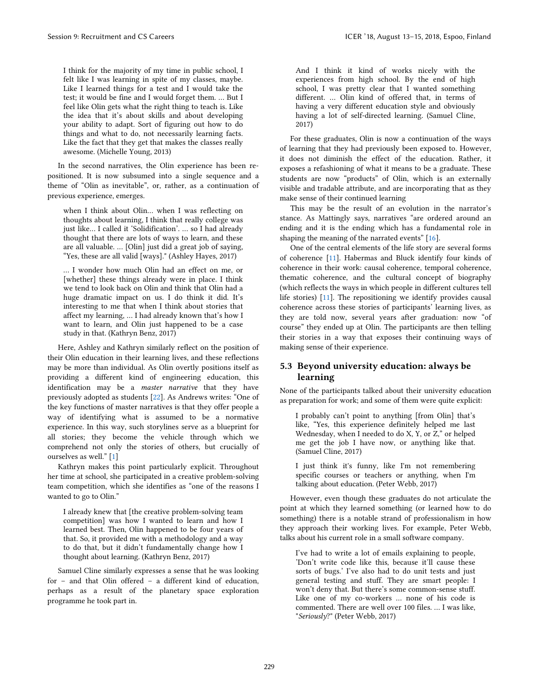I think for the majority of my time in public school, I felt like I was learning in spite of my classes, maybe. Like I learned things for a test and I would take the test; it would be fine and I would forget them. … But I feel like Olin gets what the right thing to teach is. Like the idea that it's about skills and about developing your ability to adapt. Sort of figuring out how to do things and what to do, not necessarily learning facts. Like the fact that they get that makes the classes really awesome. (Michelle Young, 2013)

In the second narratives, the Olin experience has been repositioned. It is now subsumed into a single sequence and a theme of "Olin as inevitable", or, rather, as a continuation of previous experience, emerges.

when I think about Olin… when I was reflecting on thoughts about learning, I think that really college was just like… I called it 'Solidification'. … so I had already thought that there are lots of ways to learn, and these are all valuable. … [Olin] just did a great job of saying, "Yes, these are all valid [ways]." (Ashley Hayes, 2017)

… I wonder how much Olin had an effect on me, or [whether] these things already were in place. I think we tend to look back on Olin and think that Olin had a huge dramatic impact on us. I do think it did. It's interesting to me that when I think about stories that affect my learning, … I had already known that's how I want to learn, and Olin just happened to be a case study in that. (Kathryn Benz, 2017)

Here, Ashley and Kathryn similarly reflect on the position of their Olin education in their learning lives, and these reflections may be more than individual. As Olin overtly positions itself as providing a different kind of engineering education, this identification may be a *master narrative* that they have previously adopted as students [22]. As Andrews writes: "One of the key functions of master narratives is that they offer people a way of identifying what is assumed to be a normative experience. In this way, such storylines serve as a blueprint for all stories; they become the vehicle through which we comprehend not only the stories of others, but crucially of ourselves as well." [1]

Kathryn makes this point particularly explicit. Throughout her time at school, she participated in a creative problem-solving team competition, which she identifies as "one of the reasons I wanted to go to Olin."

I already knew that [the creative problem-solving team competition] was how I wanted to learn and how I learned best. Then, Olin happened to be four years of that. So, it provided me with a methodology and a way to do that, but it didn't fundamentally change how I thought about learning. (Kathryn Benz, 2017)

Samuel Cline similarly expresses a sense that he was looking for – and that Olin offered – a different kind of education, perhaps as a result of the planetary space exploration programme he took part in.

And I think it kind of works nicely with the experiences from high school. By the end of high school, I was pretty clear that I wanted something different. … Olin kind of offered that, in terms of having a very different education style and obviously having a lot of self-directed learning. (Samuel Cline, 2017)

For these graduates, Olin is now a continuation of the ways of learning that they had previously been exposed to. However, it does not diminish the effect of the education. Rather, it exposes a refashioning of what it means to be a graduate. These students are now "products" of Olin, which is an externally visible and tradable attribute, and are incorporating that as they make sense of their continued learning

This may be the result of an evolution in the narrator's stance. As Mattingly says, narratives "are ordered around an ending and it is the ending which has a fundamental role in shaping the meaning of the narrated events" [16].

One of the central elements of the life story are several forms of coherence [11]. Habermas and Bluck identify four kinds of coherence in their work: causal coherence, temporal coherence, thematic coherence, and the cultural concept of biography (which reflects the ways in which people in different cultures tell life stories) [11]. The repositioning we identify provides causal coherence across these stories of participants' learning lives, as they are told now, several years after graduation: now "of course" they ended up at Olin. The participants are then telling their stories in a way that exposes their continuing ways of making sense of their experience.

#### 5.3 Beyond university education: always be learning

None of the participants talked about their university education as preparation for work; and some of them were quite explicit:

I probably can't point to anything [from Olin] that's like, "Yes, this experience definitely helped me last Wednesday, when I needed to do X, Y, or Z," or helped me get the job I have now, or anything like that. (Samuel Cline, 2017)

I just think it's funny, like I'm not remembering specific courses or teachers or anything, when I'm talking about education. (Peter Webb, 2017)

However, even though these graduates do not articulate the point at which they learned something (or learned how to do something) there is a notable strand of professionalism in how they approach their working lives. For example, Peter Webb, talks about his current role in a small software company.

I've had to write a lot of emails explaining to people, 'Don't write code like this, because it'll cause these sorts of bugs.' I've also had to do unit tests and just general testing and stuff. They are smart people: I won't deny that. But there's some common-sense stuff. Like one of my co-workers … none of his code is commented. There are well over 100 files. … I was like, "*Seriously*?" (Peter Webb, 2017)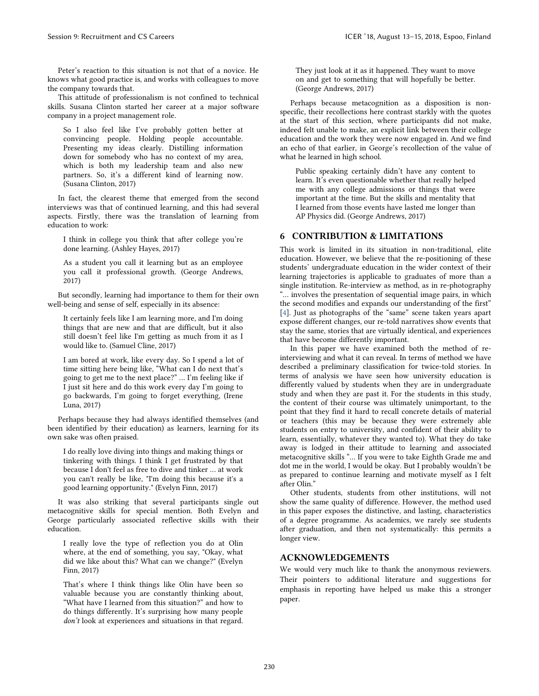Peter's reaction to this situation is not that of a novice. He knows what good practice is, and works with colleagues to move the company towards that.

This attitude of professionalism is not confined to technical skills. Susana Clinton started her career at a major software company in a project management role.

So I also feel like I've probably gotten better at convincing people. Holding people accountable. Presenting my ideas clearly. Distilling information down for somebody who has no context of my area, which is both my leadership team and also new partners. So, it's a different kind of learning now. (Susana Clinton, 2017)

In fact, the clearest theme that emerged from the second interviews was that of continued learning, and this had several aspects. Firstly, there was the translation of learning from education to work:

I think in college you think that after college you're done learning. (Ashley Hayes, 2017)

As a student you call it learning but as an employee you call it professional growth. (George Andrews, 2017)

But secondly, learning had importance to them for their own well-being and sense of self, especially in its absence:

It certainly feels like I am learning more, and I'm doing things that are new and that are difficult, but it also still doesn't feel like I'm getting as much from it as I would like to. (Samuel Cline, 2017)

I am bored at work, like every day. So I spend a lot of time sitting here being like, "What can I do next that's going to get me to the next place?" … I'm feeling like if I just sit here and do this work every day I'm going to go backwards, I'm going to forget everything, (Irene Luna, 2017)

Perhaps because they had always identified themselves (and been identified by their education) as learners, learning for its own sake was often praised.

I do really love diving into things and making things or tinkering with things. I think I get frustrated by that because I don't feel as free to dive and tinker … at work you can't really be like, "I'm doing this because it's a good learning opportunity." (Evelyn Finn, 2017)

It was also striking that several participants single out metacognitive skills for special mention. Both Evelyn and George particularly associated reflective skills with their education.

I really love the type of reflection you do at Olin where, at the end of something, you say, "Okay, what did we like about this? What can we change?" (Evelyn Finn, 2017)

That's where I think things like Olin have been so valuable because you are constantly thinking about, "What have I learned from this situation?" and how to do things differently. It's surprising how many people *donít* look at experiences and situations in that regard.

They just look at it as it happened. They want to move on and get to something that will hopefully be better. (George Andrews, 2017)

Perhaps because metacognition as a disposition is nonspecific, their recollections here contrast starkly with the quotes at the start of this section, where participants did not make, indeed felt unable to make, an explicit link between their college education and the work they were now engaged in. And we find an echo of that earlier, in George's recollection of the value of what he learned in high school.

Public speaking certainly didn't have any content to learn. It's even questionable whether that really helped me with any college admissions or things that were important at the time. But the skills and mentality that I learned from those events have lasted me longer than AP Physics did. (George Andrews, 2017)

#### 6 CONTRIBUTION & LIMITATIONS

This work is limited in its situation in non-traditional, elite education. However, we believe that the re-positioning of these students' undergraduate education in the wider context of their learning trajectories is applicable to graduates of more than a single institution. Re-interview as method, as in re-photography "… involves the presentation of sequential image pairs, in which the second modifies and expands our understanding of the first" [4]. Just as photographs of the "same" scene taken years apart expose different changes, our re-told narratives show events that stay the same, stories that are virtually identical, and experiences that have become differently important.

In this paper we have examined both the method of reinterviewing and what it can reveal. In terms of method we have described a preliminary classification for twice-told stories. In terms of analysis we have seen how university education is differently valued by students when they are in undergraduate study and when they are past it. For the students in this study, the content of their course was ultimately unimportant, to the point that they find it hard to recall concrete details of material or teachers (this may be because they were extremely able students on entry to university, and confident of their ability to learn, essentially, whatever they wanted to). What they do take away is lodged in their attitude to learning and associated metacognitive skills "… If you were to take Eighth Grade me and dot me in the world, I would be okay. But I probably wouldn't be as prepared to continue learning and motivate myself as I felt after Olin."

Other students, students from other institutions, will not show the same quality of difference. However, the method used in this paper exposes the distinctive, and lasting, characteristics of a degree programme. As academics, we rarely see students after graduation, and then not systematically: this permits a longer view.

#### ACKNOWLEDGEMENTS

We would very much like to thank the anonymous reviewers. Their pointers to additional literature and suggestions for emphasis in reporting have helped us make this a stronger paper.